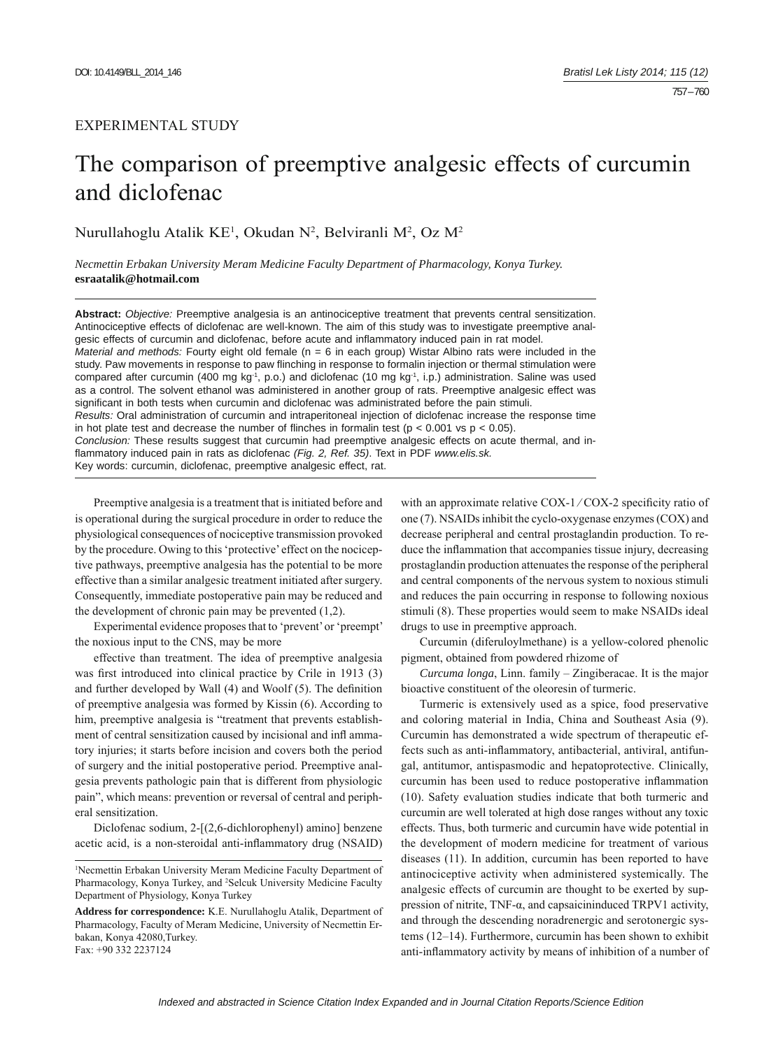## EXPERIMENTAL STUDY

# The comparison of preemptive analgesic effects of curcumin and diclofenac

Nurullahoglu Atalik KE<sup>1</sup>, Okudan N<sup>2</sup>, Belviranli M<sup>2</sup>, Oz M<sup>2</sup>

*Necmettin Erbakan University Meram Medicine Faculty Department of Pharmacology, Konya Turkey.*  **esraatalik@hotmail.com**

**Abstract:** *Objective:* Preemptive analgesia is an antinociceptive treatment that prevents central sensitization. Antinociceptive effects of diclofenac are well-known. The aim of this study was to investigate preemptive analgesic effects of curcumin and diclofenac, before acute and inflammatory induced pain in rat model. *Material and methods:* Fourty eight old female (n = 6 in each group) Wistar Albino rats were included in the study. Paw movements in response to paw flinching in response to formalin injection or thermal stimulation were compared after curcumin (400 mg kg-1, p.o.) and diclofenac (10 mg kg-1, i.p.) administration. Saline was used as a control. The solvent ethanol was administered in another group of rats. Preemptive analgesic effect was significant in both tests when curcumin and diclofenac was administrated before the pain stimuli. *Results:* Oral administration of curcumin and intraperitoneal injection of diclofenac increase the response time in hot plate test and decrease the number of flinches in formalin test ( $p < 0.001$  vs  $p < 0.05$ ). *Conclusion:* These results suggest that curcumin had preemptive analgesic effects on acute thermal, and inflammatory induced pain in rats as diclofenac (Fig. 2, Ref. 35). Text in PDF www.elis.sk. Key words: curcumin, diclofenac, preemptive analgesic effect, rat.

Preemptive analgesia is a treatment that is initiated before and is operational during the surgical procedure in order to reduce the physiological consequences of nociceptive transmission provoked by the procedure. Owing to this 'protective' effect on the nociceptive pathways, preemptive analgesia has the potential to be more effective than a similar analgesic treatment initiated after surgery. Consequently, immediate postoperative pain may be reduced and the development of chronic pain may be prevented (1,2).

Experimental evidence proposes that to 'prevent' or 'preempt' the noxious input to the CNS, may be more

effective than treatment. The idea of preemptive analgesia was first introduced into clinical practice by Crile in 1913 (3) and further developed by Wall  $(4)$  and Woolf  $(5)$ . The definition of preemptive analgesia was formed by Kissin (6). According to him, preemptive analgesia is "treatment that prevents establishment of central sensitization caused by incisional and infl ammatory injuries; it starts before incision and covers both the period of surgery and the initial postoperative period. Preemptive analgesia prevents pathologic pain that is different from physiologic pain", which means: prevention or reversal of central and peripheral sensitization.

Diclofenac sodium, 2-[(2,6-dichlorophenyl) amino] benzene acetic acid, is a non-steroidal anti-inflammatory drug (NSAID)

with an approximate relative  $COX-1/COX-2$  specificity ratio of one (7). NSAIDs inhibit the cyclo-oxygenase enzymes (COX) and decrease peripheral and central prostaglandin production. To reduce the inflammation that accompanies tissue injury, decreasing prostaglandin production attenuates the response of the peripheral and central components of the nervous system to noxious stimuli and reduces the pain occurring in response to following noxious stimuli (8). These properties would seem to make NSAIDs ideal drugs to use in preemptive approach.

Curcumin (diferuloylmethane) is a yellow-colored phenolic pigment, obtained from powdered rhizome of

*Curcuma longa*, Linn. family – Zingiberacae. It is the major bioactive constituent of the oleoresin of turmeric.

Turmeric is extensively used as a spice, food preservative and coloring material in India, China and Southeast Asia (9). Curcumin has demonstrated a wide spectrum of therapeutic effects such as anti-inflammatory, antibacterial, antiviral, antifungal, antitumor, antispasmodic and hepatoprotective. Clinically, curcumin has been used to reduce postoperative inflammation (10). Safety evaluation studies indicate that both turmeric and curcumin are well tolerated at high dose ranges without any toxic effects. Thus, both turmeric and curcumin have wide potential in the development of modern medicine for treatment of various diseases (11). In addition, curcumin has been reported to have antinociceptive activity when administered systemically. The analgesic effects of curcumin are thought to be exerted by suppression of nitrite, TNF-α, and capsaicininduced TRPV1 activity, and through the descending noradrenergic and serotonergic systems (12–14). Furthermore, curcumin has been shown to exhibit anti-inflammatory activity by means of inhibition of a number of

<sup>1</sup> Necmettin Erbakan University Meram Medicine Faculty Department of Pharmacology, Konya Turkey, and 2 Selcuk University Medicine Faculty Department of Physiology, Konya Turkey

**Address for correspondence:** K.E. Nurullahoglu Atalik, Department of Pharmacology, Faculty of Meram Medicine, University of Necmettin Erbakan, Konya 42080,Turkey. Fax: +90 332 2237124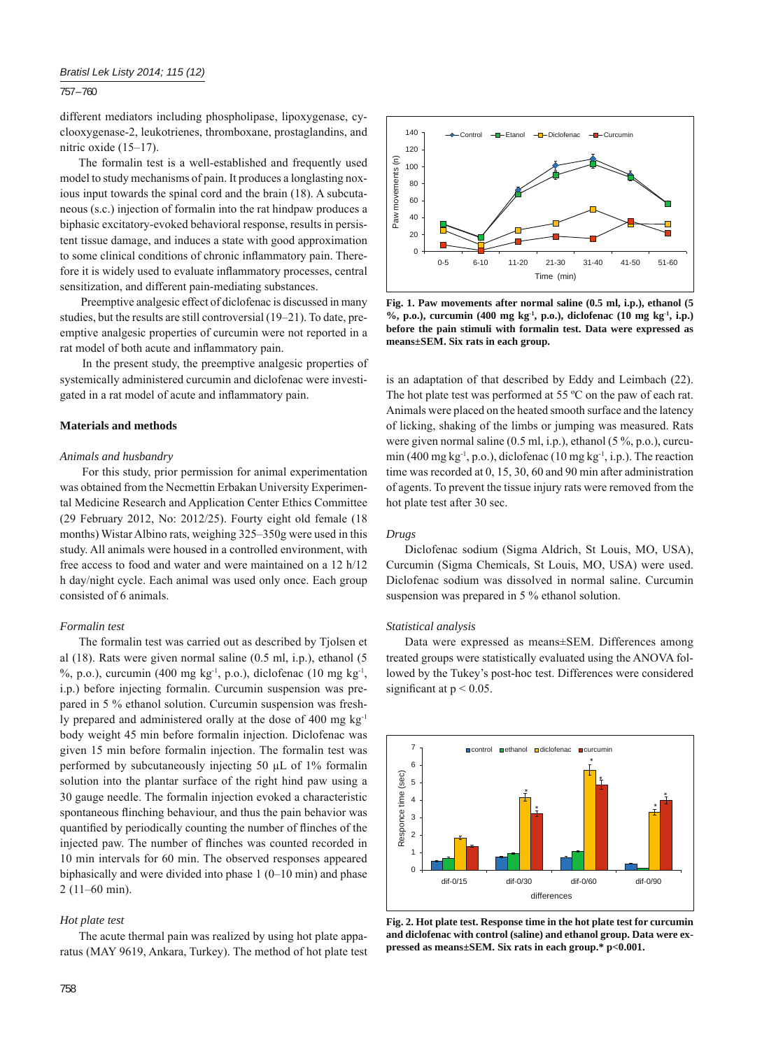### 757 – 760

different mediators including phospholipase, lipoxygenase, cyclooxygenase-2, leukotrienes, thromboxane, prostaglandins, and nitric oxide (15–17).

The formalin test is a well-established and frequently used model to study mechanisms of pain. It produces a longlasting noxious input towards the spinal cord and the brain (18). A subcutaneous (s.c.) injection of formalin into the rat hindpaw produces a biphasic excitatory-evoked behavioral response, results in persistent tissue damage, and induces a state with good approximation to some clinical conditions of chronic inflammatory pain. Therefore it is widely used to evaluate inflammatory processes, central sensitization, and different pain-mediating substances.

 Preemptive analgesic effect of diclofenac is discussed in many studies, but the results are still controversial (19–21). To date, preemptive analgesic properties of curcumin were not reported in a rat model of both acute and inflammatory pain.

 In the present study, the preemptive analgesic properties of systemically administered curcumin and diclofenac were investigated in a rat model of acute and inflammatory pain.

#### **Materials and methods**

#### *Animals and husbandry*

 For this study, prior permission for animal experimentation was obtained from the Necmettin Erbakan University Experimental Medicine Research and Application Center Ethics Committee (29 February 2012, No: 2012/25). Fourty eight old female (18 months) Wistar Albino rats, weighing 325–350g were used in this study. All animals were housed in a controlled environment, with free access to food and water and were maintained on a 12 h/12 h day/night cycle. Each animal was used only once. Each group consisted of 6 animals.

### *Formalin test*

The formalin test was carried out as described by Tjolsen et al (18). Rats were given normal saline (0.5 ml, i.p.), ethanol (5 %, p.o.), curcumin (400 mg kg<sup>-1</sup>, p.o.), diclofenac (10 mg kg<sup>-1</sup>, i.p.) before injecting formalin. Curcumin suspension was prepared in 5 % ethanol solution. Curcumin suspension was freshly prepared and administered orally at the dose of 400 mg kg<sup>-1</sup> body weight 45 min before formalin injection. Diclofenac was given 15 min before formalin injection. The formalin test was performed by subcutaneously injecting 50 μL of 1% formalin solution into the plantar surface of the right hind paw using a 30 gauge needle. The formalin injection evoked a characteristic spontaneous flinching behaviour, and thus the pain behavior was quantified by periodically counting the number of flinches of the injected paw. The number of flinches was counted recorded in 10 min intervals for 60 min. The observed responses appeared biphasically and were divided into phase 1 (0–10 min) and phase 2 (11–60 min).

#### *Hot plate test*

The acute thermal pain was realized by using hot plate apparatus (MAY 9619, Ankara, Turkey). The method of hot plate test



**Fig. 1. Paw movements after normal saline (0.5 ml, i.p.), ethanol (5 %, p.o.), curcumin (400 mg kg-1, p.o.), diclofenac (10 mg kg-1, i.p.) before the pain stimuli with formalin test. Data were expressed as means±SEM. Six rats in each group.**

is an adaptation of that described by Eddy and Leimbach (22). The hot plate test was performed at 55 °C on the paw of each rat. Animals were placed on the heated smooth surface and the latency of licking, shaking of the limbs or jumping was measured. Rats were given normal saline  $(0.5 \text{ ml}, i.p.)$ , ethanol  $(5\%, p.o.)$ , curcumin (400 mg kg<sup>-1</sup>, p.o.), diclofenac (10 mg kg<sup>-1</sup>, i.p.). The reaction time was recorded at 0, 15, 30, 60 and 90 min after administration of agents. To prevent the tissue injury rats were removed from the hot plate test after 30 sec.

#### *Drugs*

Diclofenac sodium (Sigma Aldrich, St Louis, MO, USA), Curcumin (Sigma Chemicals, St Louis, MO, USA) were used. Diclofenac sodium was dissolved in normal saline. Curcumin suspension was prepared in 5 % ethanol solution.

#### *Statistical analysis*

Data were expressed as means±SEM. Differences among treated groups were statistically evaluated using the ANOVA followed by the Tukey's post-hoc test. Differences were considered significant at  $p < 0.05$ .



**Fig. 2. Hot plate test. Response time in the hot plate test for curcumin and diclofenac with control (saline) and ethanol group. Data were expressed as means±SEM. Six rats in each group.\* p<0.001.**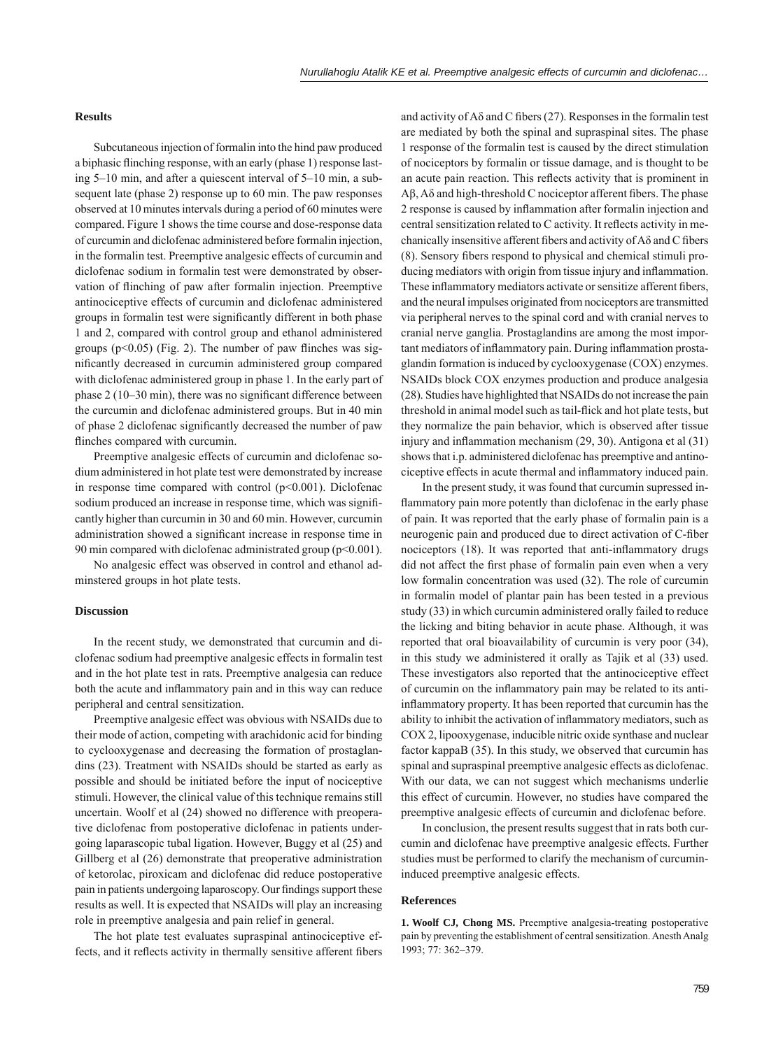## **Results**

Subcutaneous injection of formalin into the hind paw produced a biphasic flinching response, with an early (phase 1) response lasting 5–10 min, and after a quiescent interval of 5–10 min, a subsequent late (phase 2) response up to 60 min. The paw responses observed at 10 minutes intervals during a period of 60 minutes were compared. Figure 1 shows the time course and dose-response data of curcumin and diclofenac administered before formalin injection, in the formalin test. Preemptive analgesic effects of curcumin and diclofenac sodium in formalin test were demonstrated by observation of flinching of paw after formalin injection. Preemptive antinociceptive effects of curcumin and diclofenac administered groups in formalin test were significantly different in both phase 1 and 2, compared with control group and ethanol administered groups ( $p<0.05$ ) (Fig. 2). The number of paw flinches was significantly decreased in curcumin administered group compared with diclofenac administered group in phase 1. In the early part of phase  $2(10-30 \text{ min})$ , there was no significant difference between the curcumin and diclofenac administered groups. But in 40 min of phase 2 diclofenac significantly decreased the number of paw flinches compared with curcumin.

Preemptive analgesic effects of curcumin and diclofenac sodium administered in hot plate test were demonstrated by increase in response time compared with control  $(p<0.001)$ . Diclofenac sodium produced an increase in response time, which was significantly higher than curcumin in 30 and 60 min. However, curcumin administration showed a significant increase in response time in 90 min compared with diclofenac administrated group  $(p<0.001)$ .

No analgesic effect was observed in control and ethanol adminstered groups in hot plate tests.

#### **Discussion**

In the recent study, we demonstrated that curcumin and diclofenac sodium had preemptive analgesic effects in formalin test and in the hot plate test in rats. Preemptive analgesia can reduce both the acute and inflammatory pain and in this way can reduce peripheral and central sensitization.

Preemptive analgesic effect was obvious with NSAIDs due to their mode of action, competing with arachidonic acid for binding to cyclooxygenase and decreasing the formation of prostaglandins (23). Treatment with NSAIDs should be started as early as possible and should be initiated before the input of nociceptive stimuli. However, the clinical value of this technique remains still uncertain. Woolf et al (24) showed no difference with preoperative diclofenac from postoperative diclofenac in patients undergoing laparascopic tubal ligation. However, Buggy et al (25) and Gillberg et al (26) demonstrate that preoperative administration of ketorolac, piroxicam and diclofenac did reduce postoperative pain in patients undergoing laparoscopy. Our findings support these results as well. It is expected that NSAIDs will play an increasing role in preemptive analgesia and pain relief in general.

The hot plate test evaluates supraspinal antinociceptive effects, and it reflects activity in thermally sensitive afferent fibers

and activity of  $A\delta$  and C fibers (27). Responses in the formal ntest are mediated by both the spinal and supraspinal sites. The phase 1 response of the formalin test is caused by the direct stimulation of nociceptors by formalin or tissue damage, and is thought to be an acute pain reaction. This reflects activity that is prominent in Aβ,  $A\delta$  and high-threshold C nociceptor afferent fibers. The phase 2 response is caused by inflammation after formalin injection and central sensitization related to  $C$  activity. It reflects activity in mechanically insensitive afferent fibers and activity of  $A\delta$  and C fibers (8). Sensory fibers respond to physical and chemical stimuli producing mediators with origin from tissue injury and inflammation. These inflammatory mediators activate or sensitize afferent fibers, and the neural impulses originated from nociceptors are transmitted via peripheral nerves to the spinal cord and with cranial nerves to cranial nerve ganglia. Prostaglandins are among the most important mediators of inflammatory pain. During inflammation prostaglandin formation is induced by cyclooxygenase (COX) enzymes. NSAIDs block COX enzymes production and produce analgesia (28). Studies have highlighted that NSAIDs do not increase the pain threshold in animal model such as tail-flick and hot plate tests, but they normalize the pain behavior, which is observed after tissue injury and inflammation mechanism  $(29, 30)$ . Antigona et al  $(31)$ shows that i.p. administered diclofenac has preemptive and antinociceptive effects in acute thermal and inflammatory induced pain.

 In the present study, it was found that curcumin supressed inflammatory pain more potently than diclofenac in the early phase of pain. It was reported that the early phase of formalin pain is a neurogenic pain and produced due to direct activation of C-fiber nociceptors (18). It was reported that anti-inflammatory drugs did not affect the first phase of formalin pain even when a very low formalin concentration was used (32). The role of curcumin in formalin model of plantar pain has been tested in a previous study (33) in which curcumin administered orally failed to reduce the licking and biting behavior in acute phase. Although, it was reported that oral bioavailability of curcumin is very poor (34), in this study we administered it orally as Tajik et al (33) used. These investigators also reported that the antinociceptive effect of curcumin on the inflammatory pain may be related to its antiinflammatory property. It has been reported that curcumin has the ability to inhibit the activation of inflammatory mediators, such as COX 2, lipooxygenase, inducible nitric oxide synthase and nuclear factor kappaB (35). In this study, we observed that curcumin has spinal and supraspinal preemptive analgesic effects as diclofenac. With our data, we can not suggest which mechanisms underlie this effect of curcumin. However, no studies have compared the preemptive analgesic effects of curcumin and diclofenac before.

 In conclusion, the present results suggest that in rats both curcumin and diclofenac have preemptive analgesic effects. Further studies must be performed to clarify the mechanism of curcumininduced preemptive analgesic effects.

#### **References**

**1. Woolf CJ***,* **Chong MS.** Preemptive analgesia-treating postoperative pain by preventing the establishment of central sensitization. Anesth Analg 1993; 77: 362*–*379.